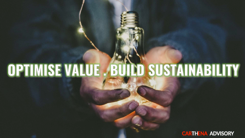# OPTIMISE VALUE. BUILD SUSTAINABILITY

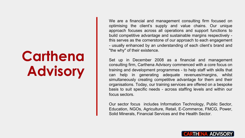# **Carthena Advisory**

We are a financial and management consulting firm focused on optimising the client's supply and value chains. Our unique approach focuses across all operations and support functions to build competitive advantage and sustainable margins respectively this serves as the cornerstone of our approach to each engagement - usually enhanced by an understanding of each client's brand and "the why" of their existence.

Set up in December 2008 as a financial and management consulting firm, Carthena Advisory commenced with a core focus on training and development programmes - to help staff with skills that can help in generating adequate revenues/margins, whilst simultaneously creating competitive advantage for them and their organisations. Today, our training services are offered on a bespoke basis to suit specific needs - across staffing levels and within our focus sectors.

Our sector focus includes Information Technology, Public Sector, Education, NGOs, Agriculture, Retail, E-Commerce, FMCG, Power, Solid Minerals, Financial Services and the Health Sector.

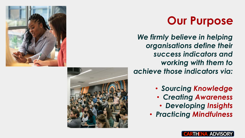

### **Our Purpose**

*We firmly believe in helping organisations define their success indicators and working with them to achieve those indicators via:*

- *Sourcing Knowledge*
	- *Creating Awareness*
	- *Developing Insights*
- *Practicing Mindfulness*



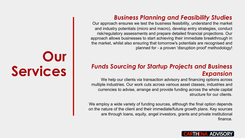#### *Business Planning and Feasibility Studies*

Our approach ensures we test the business feasibility, understand the market and industry potentials (micro and macro), develop entry strategies, conduct risk/regulatory assessments and prepare detailed financial projections. Our approach allows businesses to start achieving their immediate breakthrough in the market, whilst also ensuring that tomorrow's potentials are recognised and planned for - a proven 'disruption proof' methodology!

#### *Funds Sourcing for Startup Projects and Business Expansion*

We help our clients via transaction advisory and financing options across multiple industries. Our work cuts across various asset classes, industries and currencies to advise, arrange and provide funding across the whole capital structure for our clients.

We employ a wide variety of funding sources, although the final option depends on the nature of the client and their immediate/future growth plans. Key sources are through loans, equity, angel investors, grants and private institutional finance.

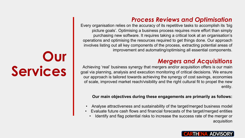#### *Process Reviews and Optimisation*

Every organisation relies on the accuracy of its repetitive tasks to accomplish its 'big picture goals'. Optimising a business process requires more effort than simply purchasing new software. It requires taking a critical look at an organisation's operations and optimising the resources required to get things done. Our approach involves listing out all key components of the process, extracting potential areas of improvement and automating/optimising all essential components.

#### *Mergers and Acquisitions*

Achieving 'real' business synergy that mergers and/or acquisition offers is our main goal via planning, analysis and execution monitoring of critical decisions. We ensure our approach is tailored towards achieving the synergy of cost savings, economies of scale, improved market reach/visibility and the right cultural fit to propel the new entity.

#### **Our main objectives during these engagements are primarily as follows:**

- Analyse attractiveness and sustainability of the target/merged business model
- Evaluate future cash flows and financial forecasts of the target/merged entities
	- Identify and flag potential risks to increase the success rate of the merger or acquisition

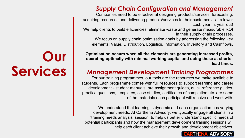#### *Supply Chain Configuration and Management*

Companies need to be effective at designing products/services, forecasting, acquiring resources and delivering products/services to their customers - at a lower cost, year in, year out!

We help clients to build efficiencies, eliminate waste and generate measurable ROI in their supply chain processes.

We focus on supply chain optimisation goals by addressing the following key elements: Value, Distribution, Logistics, Information, Inventory and Cashflows.

**Optimisation occurs when all the elements are generating increased profits, operating optimally with minimal working capital and doing these at shorter lead times.**

#### *Management Development Training Programmes*

For our training programmes, our tools are the resources we make available to students. Each programme comes with full resources to support learning and career development - student manuals, pre assignment guides, quick reference guides, practice questions, templates, case studies, certificates of completion etc. are some of the materials each participant will receive and work with.

We understand that learning is dynamic and each organisation has varying development needs. At Carthena Advisory, we typically engage all clients in a 'training needs analysis' session, to help us better understand specific needs of potential participants and how the management development training sessions will help each client achieve their growth and development objectives.

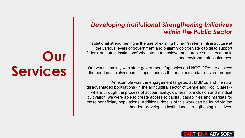#### *Developing Institutional Strengthening Initiatives within the Public Sector*

Institutional strengthening is the use of existing human/systems infrastructure at the various levels of government and philanthropic/private capital to support federal and state institutions' who intend to achieve measurable social, economic and environmental outcomes.

Our work is mainly with state governments/agencies and NGOs/IDAs to achieve the needed social/economic impact across the populace and/or desired groups.

An example was the engagement targeted at MSMEs and the rural disadvantaged populations (in the agricultural sector of Benue and Kogi States) where through the process of accountability, ownership, inclusion and mindset cultivation, we were able to create access to capital, capabilities and markets for these beneficiary populations. Additional details of this work can be found via the header - developing institutional strengthening initiatives.

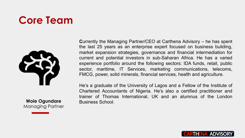### **Core Team**



**Wole Ogundare**  Managing Partner **C**urrently the Managing Partner/CEO at Carthena Advisory – he has spent the last 25 years as an enterprise expert focused on business building, market expansion strategies, governance and financial intermediation for current and potential investors in sub-Saharan Africa. He has a varied experience portfolio around the following sectors: IDA funds, retail, public sector, maritime, IT Services, marketing communications, telecoms, FMCG, power, solid minerals, financial services, health and agriculture.

He's a graduate of the University of Lagos and a Fellow of the Institute of Chartered Accountants of Nigeria. He's also a certified practitioner and trainer of Thomas International, UK and an alumnus of the London Business School.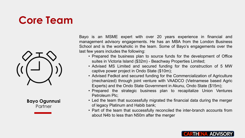### **Core Team**



**Bayo Ogunnusi Partner** 

Bayo is an MSME expert with over 20 years experience in financial and management advisory engagements. He has an MBA from the London Business School and is the workaholic in the team. Some of Bayo's engagements over the last few years includes the following:

- Prepared the business plan to source funds for the development of Office suites in Victoria Island (\$32m) - Beachway Properties Limited;
- Advised MS Limited and secured funding for the construction of 5 MW captive power project in Ondo State (\$10m);
- Advised Fedkot and secured funding for the Commercialization of Agriculture (mechanized) through joint venture with VAADCO (Vietnamese based Agric Experts) and the Ondo State Government in Akunu, Ondo State (\$15m);
- Prepared the strategic business plan to recapitalize Union Ventures Petroleum Plc;
- Led the team that successfully migrated the financial data during the merger of legacy Platinum and Habib bank;
- Part of the team that successfully reconciled the inter-branch accounts from about N4b to less than N50m after the merger

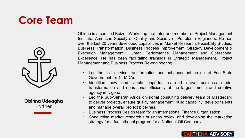### **Core Team**



**Obinna Udeagha Partner** 

Obinna is a certified Kaizen Workshop facilitator and member of Project Management Institute, American Society of Quality and Society of Petroleum Engineers. He has over the last 20 years developed capabilities in Market Research, Feasibility Studies, Business Transformation, Business Process Improvement, Strategy Development & Execution Management, Human Performance Management and Operational Excellence. He has been facilitating trainings in Strategic Management, Project Management and Business Process Re-engineering.

- Led the civil service transformation and enhancement project of Edo State Government for 14 MDAs
- Identified new and viable opportunities and drove business model transformation and operational efficiency of the largest media and creative agency in Nigeria.
- Led the Sub-Saharan Africa divisional consulting delivery team of Mastercard to deliver projects, ensure quality management, build capability, develop talents and manage overall project pipelines.
- Business Process Design team for an International Finance Organization
- Conducting market research / business review and developing the marketing strategy for a fuel ethanol program for a National Oil Company

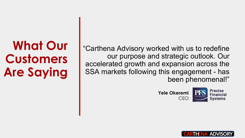**What Our Customers Are Saying**

"Carthena Advisory worked with us to redefine our purpose and strategic outlook. Our accelerated growth and expansion across the SSA markets following this engagement - has been phenomenal!"





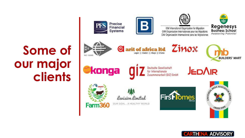## Some of our major clients



 $\odot$ 





IOM International Organization for Migration OIM Organisation Internationale pour les Migrations OIM Organización Internacional para las Migraciones





arit of africa Itd Lagos || Ibadan || Abuja || Ghana



**BUILDERS' MART** 

**©konga** 



**JEDAIR** 





OUR GOAL A HEALTHY WORLD